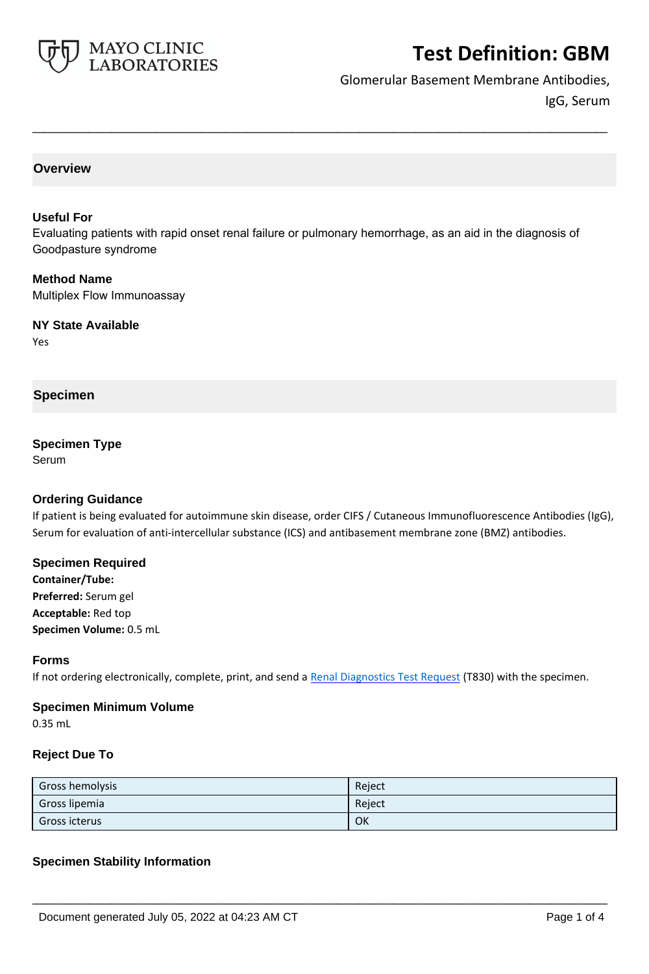

Glomerular Basement Membrane Antibodies, IgG, Serum

### **Overview**

#### **Useful For**

Evaluating patients with rapid onset renal failure or pulmonary hemorrhage, as an aid in the diagnosis of Goodpasture syndrome

**\_\_\_\_\_\_\_\_\_\_\_\_\_\_\_\_\_\_\_\_\_\_\_\_\_\_\_\_\_\_\_\_\_\_\_\_\_\_\_\_\_\_\_\_\_\_\_\_\_\_\_**

#### **Method Name**

Multiplex Flow Immunoassay

#### **NY State Available**

Yes

### **Specimen**

## **Specimen Type**

Serum

#### **Ordering Guidance**

If patient is being evaluated for autoimmune skin disease, order CIFS / Cutaneous Immunofluorescence Antibodies (IgG), Serum for evaluation of anti-intercellular substance (ICS) and antibasement membrane zone (BMZ) antibodies.

### **Specimen Required**

**Container/Tube: Preferred:** Serum gel **Acceptable:** Red top **Specimen Volume:** 0.5 mL

#### **Forms**

If not ordering electronically, complete, print, and send a [Renal Diagnostics Test Request](https://www.mayocliniclabs.com/it-mmfiles/Renal-Diagnostics-Request-Form_MC0767-11.pdf) (T830) with the specimen.

#### **Specimen Minimum Volume**

0.35 mL

#### **Reject Due To**

| Gross hemolysis | Reject |
|-----------------|--------|
| Gross lipemia   | Reject |
| Gross icterus   | OK     |

**\_\_\_\_\_\_\_\_\_\_\_\_\_\_\_\_\_\_\_\_\_\_\_\_\_\_\_\_\_\_\_\_\_\_\_\_\_\_\_\_\_\_\_\_\_\_\_\_\_\_\_**

#### **Specimen Stability Information**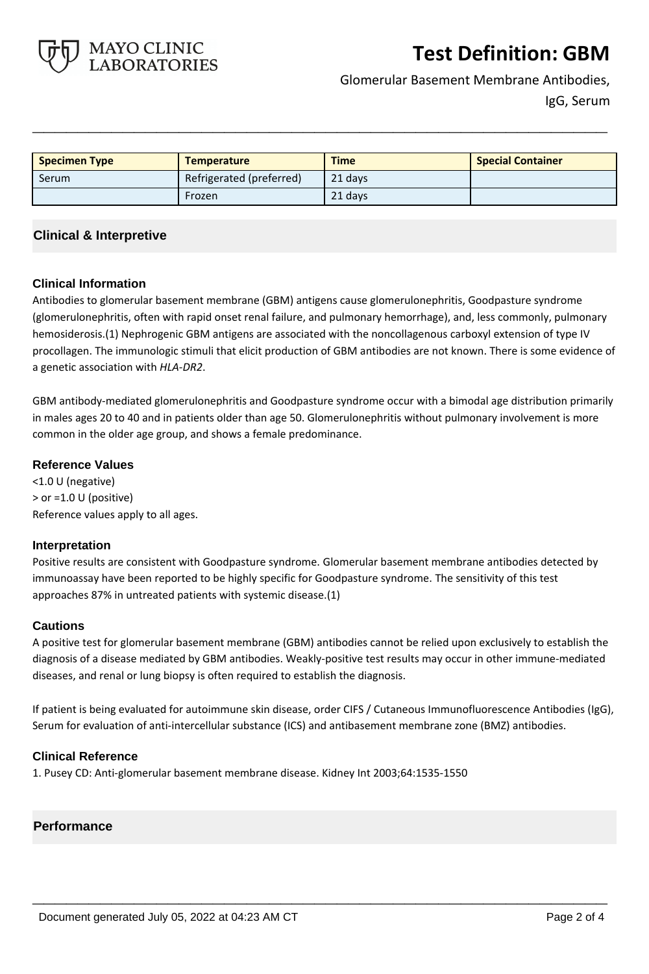

Glomerular Basement Membrane Antibodies, IgG, Serum

| <b>Specimen Type</b> | Temperature              | <b>Time</b> | <b>Special Container</b> |
|----------------------|--------------------------|-------------|--------------------------|
| Serum                | Refrigerated (preferred) | 21 days     |                          |
|                      | Frozen                   | 21 days     |                          |

**\_\_\_\_\_\_\_\_\_\_\_\_\_\_\_\_\_\_\_\_\_\_\_\_\_\_\_\_\_\_\_\_\_\_\_\_\_\_\_\_\_\_\_\_\_\_\_\_\_\_\_**

### **Clinical & Interpretive**

#### **Clinical Information**

Antibodies to glomerular basement membrane (GBM) antigens cause glomerulonephritis, Goodpasture syndrome (glomerulonephritis, often with rapid onset renal failure, and pulmonary hemorrhage), and, less commonly, pulmonary hemosiderosis.(1) Nephrogenic GBM antigens are associated with the noncollagenous carboxyl extension of type IV procollagen. The immunologic stimuli that elicit production of GBM antibodies are not known. There is some evidence of a genetic association with *HLA*-*DR2*.

GBM antibody-mediated glomerulonephritis and Goodpasture syndrome occur with a bimodal age distribution primarily in males ages 20 to 40 and in patients older than age 50. Glomerulonephritis without pulmonary involvement is more common in the older age group, and shows a female predominance.

#### **Reference Values**

<1.0 U (negative) > or =1.0 U (positive) Reference values apply to all ages.

#### **Interpretation**

Positive results are consistent with Goodpasture syndrome. Glomerular basement membrane antibodies detected by immunoassay have been reported to be highly specific for Goodpasture syndrome. The sensitivity of this test approaches 87% in untreated patients with systemic disease.(1)

#### **Cautions**

A positive test for glomerular basement membrane (GBM) antibodies cannot be relied upon exclusively to establish the diagnosis of a disease mediated by GBM antibodies. Weakly-positive test results may occur in other immune-mediated diseases, and renal or lung biopsy is often required to establish the diagnosis.

If patient is being evaluated for autoimmune skin disease, order CIFS / Cutaneous Immunofluorescence Antibodies (IgG), Serum for evaluation of anti-intercellular substance (ICS) and antibasement membrane zone (BMZ) antibodies.

**\_\_\_\_\_\_\_\_\_\_\_\_\_\_\_\_\_\_\_\_\_\_\_\_\_\_\_\_\_\_\_\_\_\_\_\_\_\_\_\_\_\_\_\_\_\_\_\_\_\_\_**

#### **Clinical Reference**

1. Pusey CD: Anti-glomerular basement membrane disease. Kidney Int 2003;64:1535-1550

#### **Performance**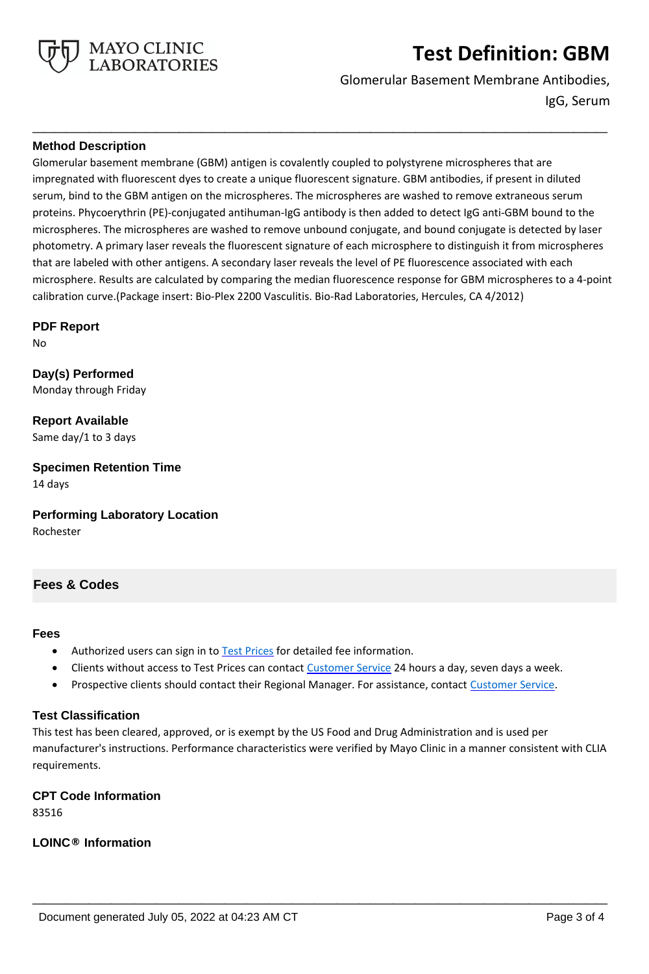

Glomerular Basement Membrane Antibodies, IgG, Serum

#### **Method Description**

Glomerular basement membrane (GBM) antigen is covalently coupled to polystyrene microspheres that are impregnated with fluorescent dyes to create a unique fluorescent signature. GBM antibodies, if present in diluted serum, bind to the GBM antigen on the microspheres. The microspheres are washed to remove extraneous serum proteins. Phycoerythrin (PE)-conjugated antihuman-IgG antibody is then added to detect IgG anti-GBM bound to the microspheres. The microspheres are washed to remove unbound conjugate, and bound conjugate is detected by laser photometry. A primary laser reveals the fluorescent signature of each microsphere to distinguish it from microspheres that are labeled with other antigens. A secondary laser reveals the level of PE fluorescence associated with each microsphere. Results are calculated by comparing the median fluorescence response for GBM microspheres to a 4-point calibration curve.(Package insert: Bio-Plex 2200 Vasculitis. Bio-Rad Laboratories, Hercules, CA 4/2012)

**\_\_\_\_\_\_\_\_\_\_\_\_\_\_\_\_\_\_\_\_\_\_\_\_\_\_\_\_\_\_\_\_\_\_\_\_\_\_\_\_\_\_\_\_\_\_\_\_\_\_\_**

**PDF Report**

No

**Day(s) Performed** Monday through Friday

**Report Available** Same day/1 to 3 days

**Specimen Retention Time** 14 days

**Performing Laboratory Location**

Rochester

### **Fees & Codes**

#### **Fees**

- Authorized users can sign in to [Test Prices](https://www.mayocliniclabs.com/customer-service/client-price-lookup/index.html?unit_code=GBM) for detailed fee information.
- Clients without access to Test Prices can contact [Customer Service](http://www.mayocliniclabs.com/customer-service/contacts.html) 24 hours a day, seven days a week.
- **Prospective clients should contact their Regional Manager. For assistance, contact [Customer Service.](http://www.mayocliniclabs.com/customer-service/contacts.html)**

#### **Test Classification**

This test has been cleared, approved, or is exempt by the US Food and Drug Administration and is used per manufacturer's instructions. Performance characteristics were verified by Mayo Clinic in a manner consistent with CLIA requirements.

**\_\_\_\_\_\_\_\_\_\_\_\_\_\_\_\_\_\_\_\_\_\_\_\_\_\_\_\_\_\_\_\_\_\_\_\_\_\_\_\_\_\_\_\_\_\_\_\_\_\_\_**

## **CPT Code Information**

83516

**LOINC® Information**